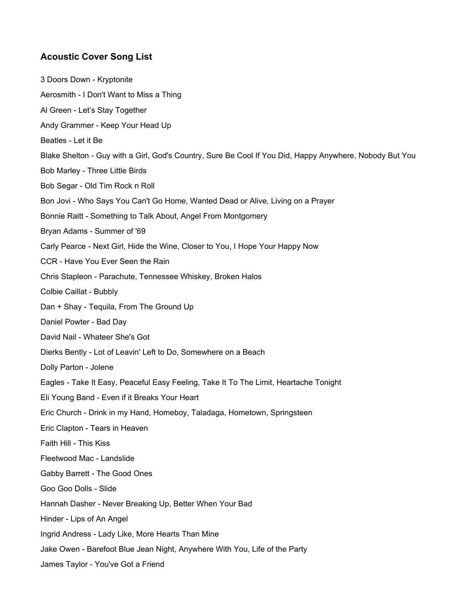## **Acoustic Cover Song List**

3 Doors Down - Kryptonite Aerosmith - I Don't Want to Miss a Thing Al Green - Let's Stay Together Andy Grammer - Keep Your Head Up Beatles - Let it Be Blake Shelton - Guy with a Girl, God's Country, Sure Be Cool If You Did, Happy Anywhere, Nobody But You Bob Marley - Three Little Birds Bob Segar - Old Tim Rock n Roll Bon Jovi - Who Says You Can't Go Home, Wanted Dead or Alive, Living on a Prayer Bonnie Raitt - Something to Talk About, Angel From Montgomery Bryan Adams - Summer of '69 Carly Pearce - Next Girl, Hide the Wine, Closer to You, I Hope Your Happy Now CCR - Have You Ever Seen the Rain Chris Stapleon - Parachute, Tennessee Whiskey, Broken Halos Colbie Caillat - Bubbly Dan + Shay - Tequila, From The Ground Up Daniel Powter - Bad Day David Nail - Whateer She's Got Dierks Bently - Lot of Leavin' Left to Do, Somewhere on a Beach Dolly Parton - Jolene Eagles - Take It Easy, Peaceful Easy Feeling, Take It To The Limit, Heartache Tonight Eli Young Band - Even if it Breaks Your Heart Eric Church - Drink in my Hand, Homeboy, Taladaga, Hometown, Springsteen Eric Clapton - Tears in Heaven Faith Hill - This Kiss Fleetwood Mac - Landslide Gabby Barrett - The Good Ones Goo Goo Dolls - Slide Hannah Dasher - Never Breaking Up, Better When Your Bad Hinder - Lips of An Angel Ingrid Andress - Lady Like, More Hearts Than Mine Jake Owen - Barefoot Blue Jean Night, Anywhere With You, Life of the Party James Taylor - You've Got a Friend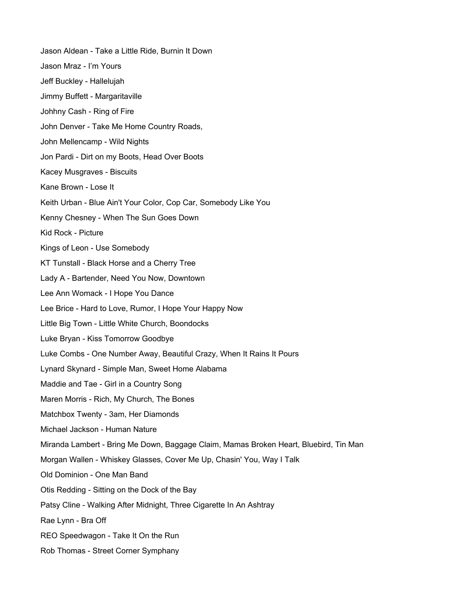Jason Aldean - Take a Little Ride, Burnin It Down Jason Mraz - I'm Yours Jeff Buckley - Hallelujah Jimmy Buffett - Margaritaville Johhny Cash - Ring of Fire John Denver - Take Me Home Country Roads, John Mellencamp - Wild Nights Jon Pardi - Dirt on my Boots, Head Over Boots Kacey Musgraves - Biscuits Kane Brown - Lose It Keith Urban - Blue Ain't Your Color, Cop Car, Somebody Like You Kenny Chesney - When The Sun Goes Down Kid Rock - Picture Kings of Leon - Use Somebody KT Tunstall - Black Horse and a Cherry Tree Lady A - Bartender, Need You Now, Downtown Lee Ann Womack - I Hope You Dance Lee Brice - Hard to Love, Rumor, I Hope Your Happy Now Little Big Town - Little White Church, Boondocks Luke Bryan - Kiss Tomorrow Goodbye Luke Combs - One Number Away, Beautiful Crazy, When It Rains It Pours Lynard Skynard - Simple Man, Sweet Home Alabama Maddie and Tae - Girl in a Country Song Maren Morris - Rich, My Church, The Bones Matchbox Twenty - 3am, Her Diamonds Michael Jackson - Human Nature Miranda Lambert - Bring Me Down, Baggage Claim, Mamas Broken Heart, Bluebird, Tin Man Morgan Wallen - Whiskey Glasses, Cover Me Up, Chasin' You, Way I Talk Old Dominion - One Man Band Otis Redding - Sitting on the Dock of the Bay Patsy Cline - Walking After Midnight, Three Cigarette In An Ashtray Rae Lynn - Bra Off REO Speedwagon - Take It On the Run Rob Thomas - Street Corner Symphany